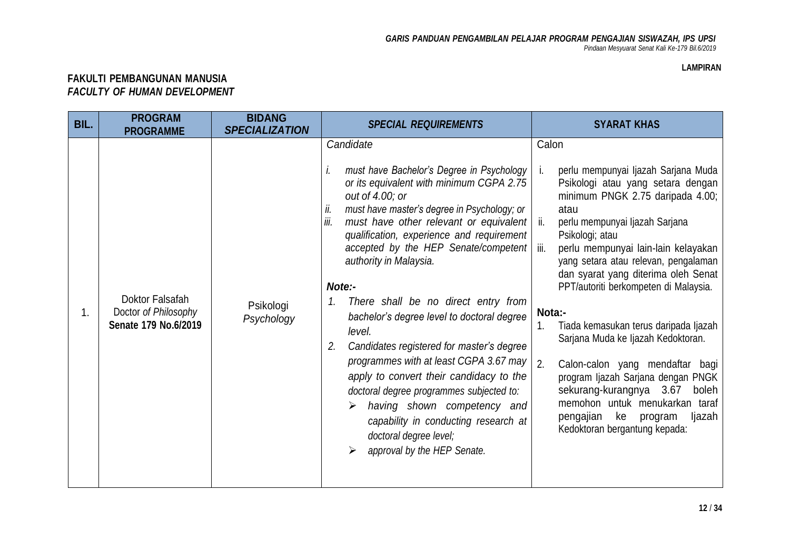## **LAMPIRAN**

## **FAKULTI PEMBANGUNAN MANUSIA** *FACULTY OF HUMAN DEVELOPMENT*

| BIL. | <b>PROGRAM</b><br><b>PROGRAMME</b>                              | <b>BIDANG</b><br><b>SPECIALIZATION</b> | <b>SPECIAL REQUIREMENTS</b>                                                                                                                                                                                                                                                                                                                                                                                                                                                                                                                                                                                                                                                                                                                                                                       | <b>SYARAT KHAS</b>                                                                                                                                                                                                                                                                                                                                                                                                                                                                                                                                                                                                                                                                                        |
|------|-----------------------------------------------------------------|----------------------------------------|---------------------------------------------------------------------------------------------------------------------------------------------------------------------------------------------------------------------------------------------------------------------------------------------------------------------------------------------------------------------------------------------------------------------------------------------------------------------------------------------------------------------------------------------------------------------------------------------------------------------------------------------------------------------------------------------------------------------------------------------------------------------------------------------------|-----------------------------------------------------------------------------------------------------------------------------------------------------------------------------------------------------------------------------------------------------------------------------------------------------------------------------------------------------------------------------------------------------------------------------------------------------------------------------------------------------------------------------------------------------------------------------------------------------------------------------------------------------------------------------------------------------------|
| 1.   | Doktor Falsafah<br>Doctor of Philosophy<br>Senate 179 No.6/2019 | Psikologi<br>Psychology                | Candidate<br>must have Bachelor's Degree in Psychology<br>Ι.<br>or its equivalent with minimum CGPA 2.75<br>out of 4.00; or<br>must have master's degree in Psychology; or<br>ii.<br>iii.<br>must have other relevant or equivalent<br>qualification, experience and requirement<br>accepted by the HEP Senate/competent  <br>authority in Malaysia.<br>Note:-<br>There shall be no direct entry from<br>1.<br>bachelor's degree level to doctoral degree<br>level.<br>Candidates registered for master's degree<br>2.<br>programmes with at least CGPA 3.67 may<br>apply to convert their candidacy to the<br>doctoral degree programmes subjected to:<br>having shown competency and<br>⋗<br>capability in conducting research at<br>doctoral degree level;<br>approval by the HEP Senate.<br>➤ | Calon<br>perlu mempunyai Ijazah Sarjana Muda<br>Ĺ.<br>Psikologi atau yang setara dengan<br>minimum PNGK 2.75 daripada 4.00;<br>atau<br>perlu mempunyai Ijazah Sarjana<br>ii.<br>Psikologi; atau<br>iii.<br>perlu mempunyai lain-lain kelayakan<br>yang setara atau relevan, pengalaman<br>dan syarat yang diterima oleh Senat<br>PPT/autoriti berkompeten di Malaysia.<br>Nota:-<br>Tiada kemasukan terus daripada Ijazah<br>1.<br>Sarjana Muda ke Ijazah Kedoktoran.<br>2.<br>Calon-calon yang mendaftar bagi<br>program Ijazah Sarjana dengan PNGK<br>sekurang-kurangnya<br>3.67<br>boleh<br>memohon untuk menukarkan<br>taraf<br>pengajian<br>ke<br>program<br>ljazah<br>Kedoktoran bergantung kepada: |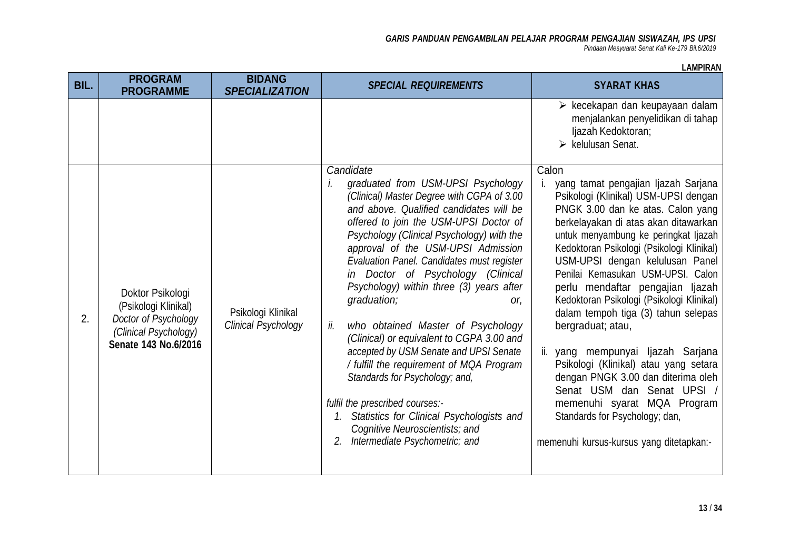*Pindaan Mesyuarat Senat Kali Ke-179 Bil.6/2019*

| BIL. | <b>PROGRAM</b><br><b>PROGRAMME</b>                                                                                | <b>BIDANG</b><br><b>SPECIALIZATION</b>    | <b>SPECIAL REQUIREMENTS</b>                                                                                                                                                                                                                                                                                                                                                                                                                                                                                                                                                                                                                                                                                                                                                                              | <b>SYARAT KHAS</b>                                                                                                                                                                                                                                                                                                                                                                                                                                                                                                                                                                                                                                                                                                                               |
|------|-------------------------------------------------------------------------------------------------------------------|-------------------------------------------|----------------------------------------------------------------------------------------------------------------------------------------------------------------------------------------------------------------------------------------------------------------------------------------------------------------------------------------------------------------------------------------------------------------------------------------------------------------------------------------------------------------------------------------------------------------------------------------------------------------------------------------------------------------------------------------------------------------------------------------------------------------------------------------------------------|--------------------------------------------------------------------------------------------------------------------------------------------------------------------------------------------------------------------------------------------------------------------------------------------------------------------------------------------------------------------------------------------------------------------------------------------------------------------------------------------------------------------------------------------------------------------------------------------------------------------------------------------------------------------------------------------------------------------------------------------------|
|      |                                                                                                                   |                                           |                                                                                                                                                                                                                                                                                                                                                                                                                                                                                                                                                                                                                                                                                                                                                                                                          | $\triangleright$ kecekapan dan keupayaan dalam<br>menjalankan penyelidikan di tahap<br>ljazah Kedoktoran;<br>$\triangleright$ kelulusan Senat.                                                                                                                                                                                                                                                                                                                                                                                                                                                                                                                                                                                                   |
| 2.   | Doktor Psikologi<br>(Psikologi Klinikal)<br>Doctor of Psychology<br>(Clinical Psychology)<br>Senate 143 No.6/2016 | Psikologi Klinikal<br>Clinical Psychology | Candidate<br>graduated from USM-UPSI Psychology<br>İ.<br>(Clinical) Master Degree with CGPA of 3.00<br>and above. Qualified candidates will be<br>offered to join the USM-UPSI Doctor of<br>Psychology (Clinical Psychology) with the<br>approval of the USM-UPSI Admission<br>Evaluation Panel. Candidates must register<br>in Doctor of Psychology (Clinical<br>Psychology) within three (3) years after<br>graduation;<br>or,<br>who obtained Master of Psychology<br>ii.<br>(Clinical) or equivalent to CGPA 3.00 and<br>accepted by USM Senate and UPSI Senate<br>/ fulfill the requirement of MQA Program<br>Standards for Psychology; and,<br>fulfil the prescribed courses:-<br>Statistics for Clinical Psychologists and<br>Cognitive Neuroscientists; and<br>2. Intermediate Psychometric; and | Calon<br>yang tamat pengajian Ijazah Sarjana<br>L.<br>Psikologi (Klinikal) USM-UPSI dengan<br>PNGK 3.00 dan ke atas. Calon yang<br>berkelayakan di atas akan ditawarkan<br>untuk menyambung ke peringkat ljazah<br>Kedoktoran Psikologi (Psikologi Klinikal)<br>USM-UPSI dengan kelulusan Panel<br>Penilai Kemasukan USM-UPSI. Calon<br>perlu mendaftar pengajian Ijazah<br>Kedoktoran Psikologi (Psikologi Klinikal)<br>dalam tempoh tiga (3) tahun selepas<br>bergraduat; atau,<br>ii. yang mempunyai Ijazah Sarjana<br>Psikologi (Klinikal) atau yang setara<br>dengan PNGK 3.00 dan diterima oleh<br>Senat USM dan Senat UPSI /<br>memenuhi syarat MQA Program<br>Standards for Psychology; dan,<br>memenuhi kursus-kursus yang ditetapkan:- |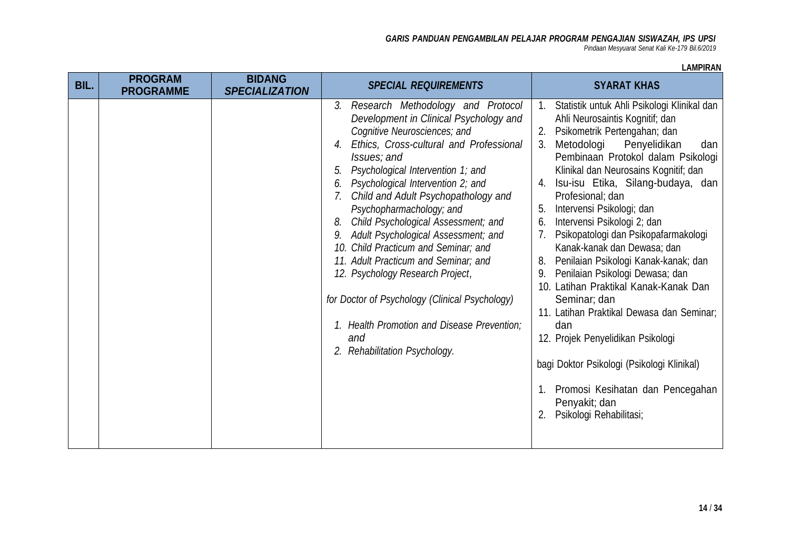*Pindaan Mesyuarat Senat Kali Ke-179 Bil.6/2019*

| BIL. | <b>PROGRAM</b><br><b>PROGRAMME</b> | <b>BIDANG</b><br><b>SPECIALIZATION</b> | <b>SPECIAL REQUIREMENTS</b>                                                                                                                                                                                                                                                                                                                                                                                                                                                                                                                                                                                                                                                                 | <b>SYARAT KHAS</b>                                                                                                                                                                                                                                                                                                                                                                                                                                                                                                                                                                                                                                                                                                                                                                                                                                                   |
|------|------------------------------------|----------------------------------------|---------------------------------------------------------------------------------------------------------------------------------------------------------------------------------------------------------------------------------------------------------------------------------------------------------------------------------------------------------------------------------------------------------------------------------------------------------------------------------------------------------------------------------------------------------------------------------------------------------------------------------------------------------------------------------------------|----------------------------------------------------------------------------------------------------------------------------------------------------------------------------------------------------------------------------------------------------------------------------------------------------------------------------------------------------------------------------------------------------------------------------------------------------------------------------------------------------------------------------------------------------------------------------------------------------------------------------------------------------------------------------------------------------------------------------------------------------------------------------------------------------------------------------------------------------------------------|
|      |                                    |                                        | 3. Research Methodology and Protocol<br>Development in Clinical Psychology and<br>Cognitive Neurosciences; and<br>Ethics, Cross-cultural and Professional<br>4.<br>Issues; and<br>Psychological Intervention 1; and<br>5.<br>Psychological Intervention 2; and<br>6.<br>Child and Adult Psychopathology and<br>Psychopharmachology; and<br>Child Psychological Assessment; and<br>8.<br>9. Adult Psychological Assessment; and<br>10. Child Practicum and Seminar; and<br>11. Adult Practicum and Seminar; and<br>12. Psychology Research Project,<br>for Doctor of Psychology (Clinical Psychology)<br>1. Health Promotion and Disease Prevention;<br>and<br>2. Rehabilitation Psychology. | Statistik untuk Ahli Psikologi Klinikal dan<br>$1_{\cdot}$<br>Ahli Neurosaintis Kognitif; dan<br>Psikometrik Pertengahan; dan<br>2.<br>Metodologi<br>Penyelidikan<br>3.<br>dan<br>Pembinaan Protokol dalam Psikologi<br>Klinikal dan Neurosains Kognitif; dan<br>Isu-isu Etika, Silang-budaya, dan<br>4.<br>Profesional; dan<br>Intervensi Psikologi; dan<br>5.<br>Intervensi Psikologi 2; dan<br>6.<br>Psikopatologi dan Psikopafarmakologi<br>7.<br>Kanak-kanak dan Dewasa; dan<br>Penilaian Psikologi Kanak-kanak; dan<br>8.<br>Penilaian Psikologi Dewasa; dan<br>9.<br>10. Latihan Praktikal Kanak-Kanak Dan<br>Seminar; dan<br>11. Latihan Praktikal Dewasa dan Seminar;<br>dan<br>12. Projek Penyelidikan Psikologi<br>bagi Doktor Psikologi (Psikologi Klinikal)<br>Promosi Kesihatan dan Pencegahan<br>1.<br>Penyakit; dan<br>Psikologi Rehabilitasi;<br>2. |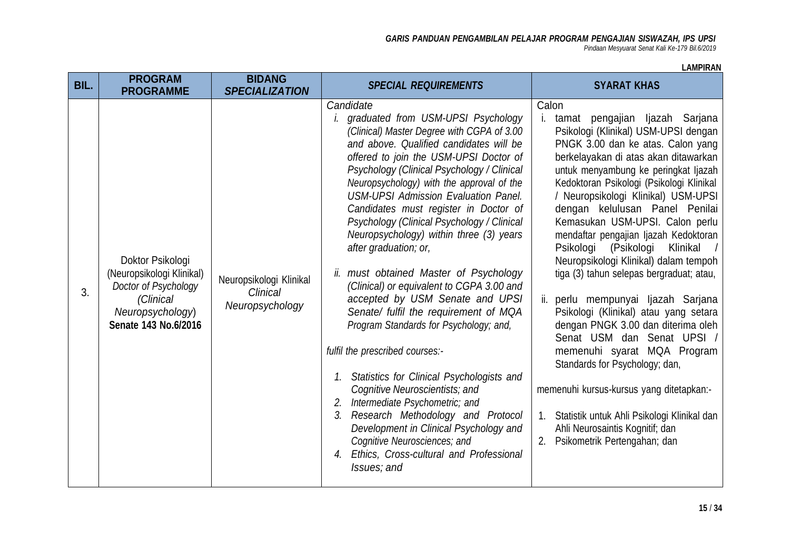*Pindaan Mesyuarat Senat Kali Ke-179 Bil.6/2019*

| BIL. | <b>PROGRAM</b><br><b>PROGRAMME</b>                                                                                             | <b>BIDANG</b><br><b>SPECIALIZATION</b>                 | <b>SPECIAL REQUIREMENTS</b>                                                                                                                                                                                                                                                                                                                                                                                                                                                                                                                                                                                                                                                                                                                                                                                                                                                                                                                                                                                                                                | <b>SYARAT KHAS</b>                                                                                                                                                                                                                                                                                                                                                                                                                                                                                                                                                                                                                                                                                                                                                                                                                                                                                                                               |
|------|--------------------------------------------------------------------------------------------------------------------------------|--------------------------------------------------------|------------------------------------------------------------------------------------------------------------------------------------------------------------------------------------------------------------------------------------------------------------------------------------------------------------------------------------------------------------------------------------------------------------------------------------------------------------------------------------------------------------------------------------------------------------------------------------------------------------------------------------------------------------------------------------------------------------------------------------------------------------------------------------------------------------------------------------------------------------------------------------------------------------------------------------------------------------------------------------------------------------------------------------------------------------|--------------------------------------------------------------------------------------------------------------------------------------------------------------------------------------------------------------------------------------------------------------------------------------------------------------------------------------------------------------------------------------------------------------------------------------------------------------------------------------------------------------------------------------------------------------------------------------------------------------------------------------------------------------------------------------------------------------------------------------------------------------------------------------------------------------------------------------------------------------------------------------------------------------------------------------------------|
| 3.   | Doktor Psikologi<br>(Neuropsikologi Klinikal)<br>Doctor of Psychology<br>(Clinical<br>Neuropsychology)<br>Senate 143 No.6/2016 | Neuropsikologi Klinikal<br>Clinical<br>Neuropsychology | Candidate<br><i>i.</i> graduated from USM-UPSI Psychology<br>(Clinical) Master Degree with CGPA of 3.00<br>and above. Qualified candidates will be<br>offered to join the USM-UPSI Doctor of<br>Psychology (Clinical Psychology / Clinical<br>Neuropsychology) with the approval of the<br><b>USM-UPSI Admission Evaluation Panel.</b><br>Candidates must register in Doctor of<br>Psychology (Clinical Psychology / Clinical<br>Neuropsychology) within three (3) years<br>after graduation; or,<br>ii. must obtained Master of Psychology<br>(Clinical) or equivalent to CGPA 3.00 and<br>accepted by USM Senate and UPSI<br>Senate/ fulfil the requirement of MQA<br>Program Standards for Psychology; and,<br>fulfil the prescribed courses:-<br>1. Statistics for Clinical Psychologists and<br>Cognitive Neuroscientists; and<br>2. Intermediate Psychometric; and<br>3. Research Methodology and Protocol<br>Development in Clinical Psychology and<br>Cognitive Neurosciences; and<br>Ethics, Cross-cultural and Professional<br>4.<br>Issues; and | Calon<br>pengajian ljazah Sarjana<br>tamat<br>i.<br>Psikologi (Klinikal) USM-UPSI dengan<br>PNGK 3.00 dan ke atas. Calon yang<br>berkelayakan di atas akan ditawarkan<br>untuk menyambung ke peringkat ljazah<br>Kedoktoran Psikologi (Psikologi Klinikal<br>/ Neuropsikologi Klinikal) USM-UPSI<br>dengan kelulusan Panel Penilai<br>Kemasukan USM-UPSI. Calon perlu<br>mendaftar pengajian Ijazah Kedoktoran<br>Psikologi (Psikologi<br>Klinikal /<br>Neuropsikologi Klinikal) dalam tempoh<br>tiga (3) tahun selepas bergraduat; atau,<br>ii. perlu mempunyai Ijazah Sarjana<br>Psikologi (Klinikal) atau yang setara<br>dengan PNGK 3.00 dan diterima oleh<br>Senat USM dan Senat UPSI /<br>memenuhi syarat MQA Program<br>Standards for Psychology; dan,<br>memenuhi kursus-kursus yang ditetapkan:-<br>Statistik untuk Ahli Psikologi Klinikal dan<br>$1_{\cdot}$<br>Ahli Neurosaintis Kognitif; dan<br>Psikometrik Pertengahan; dan<br>2. |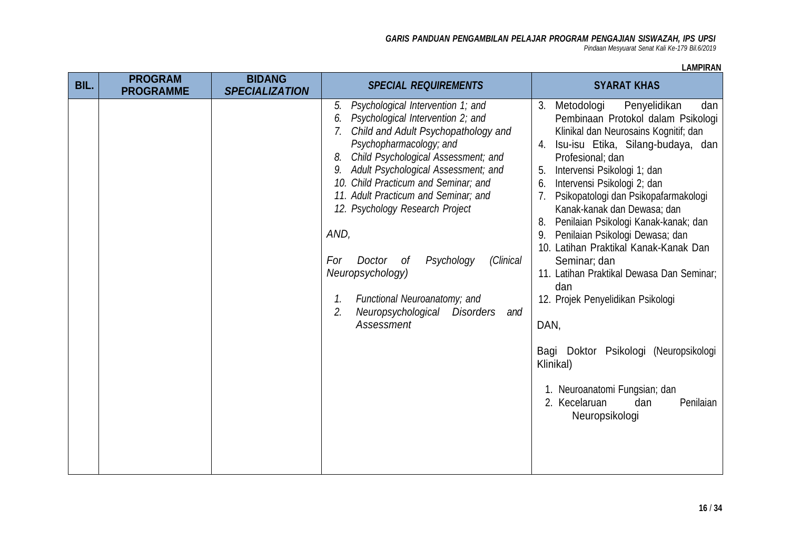*Pindaan Mesyuarat Senat Kali Ke-179 Bil.6/2019*

| BIL. | <b>PROGRAM</b><br><b>PROGRAMME</b> | <b>BIDANG</b><br><b>SPECIALIZATION</b> | <b>SPECIAL REQUIREMENTS</b>                                                                                                                                                                                                                                                                                                                                                                                                                                                                                                                             | <b>SYARAT KHAS</b>                                                                                                                                                                                                                                                                                                                                                                                                                                                                                                                                                                                                                                                                                                                                |
|------|------------------------------------|----------------------------------------|---------------------------------------------------------------------------------------------------------------------------------------------------------------------------------------------------------------------------------------------------------------------------------------------------------------------------------------------------------------------------------------------------------------------------------------------------------------------------------------------------------------------------------------------------------|---------------------------------------------------------------------------------------------------------------------------------------------------------------------------------------------------------------------------------------------------------------------------------------------------------------------------------------------------------------------------------------------------------------------------------------------------------------------------------------------------------------------------------------------------------------------------------------------------------------------------------------------------------------------------------------------------------------------------------------------------|
|      |                                    |                                        | Psychological Intervention 1; and<br>5.<br>Psychological Intervention 2; and<br>6.<br>Child and Adult Psychopathology and<br>Psychopharmacology; and<br>Child Psychological Assessment; and<br>8.<br>Adult Psychological Assessment; and<br>9.<br>10. Child Practicum and Seminar; and<br>11. Adult Practicum and Seminar; and<br>12. Psychology Research Project<br>AND,<br>(Clinical<br>Psychology<br>For<br>Doctor of<br>Neuropsychology)<br>Functional Neuroanatomy; and<br>1.<br>2.<br>Neuropsychological<br><b>Disorders</b><br>and<br>Assessment | Penyelidikan<br>Metodologi<br>3.<br>dan<br>Pembinaan Protokol dalam Psikologi<br>Klinikal dan Neurosains Kognitif; dan<br>Isu-isu Etika, Silang-budaya, dan<br>Profesional; dan<br>Intervensi Psikologi 1; dan<br>5.<br>Intervensi Psikologi 2; dan<br>6.<br>Psikopatologi dan Psikopafarmakologi<br>7 <sub>1</sub><br>Kanak-kanak dan Dewasa; dan<br>Penilaian Psikologi Kanak-kanak; dan<br>8.<br>Penilaian Psikologi Dewasa; dan<br>9.<br>10. Latihan Praktikal Kanak-Kanak Dan<br>Seminar; dan<br>11. Latihan Praktikal Dewasa Dan Seminar;<br>dan<br>12. Projek Penyelidikan Psikologi<br>DAN,<br>Bagi Doktor Psikologi (Neuropsikologi<br>Klinikal)<br>1. Neuroanatomi Fungsian; dan<br>2. Kecelaruan<br>dan<br>Penilaian<br>Neuropsikologi |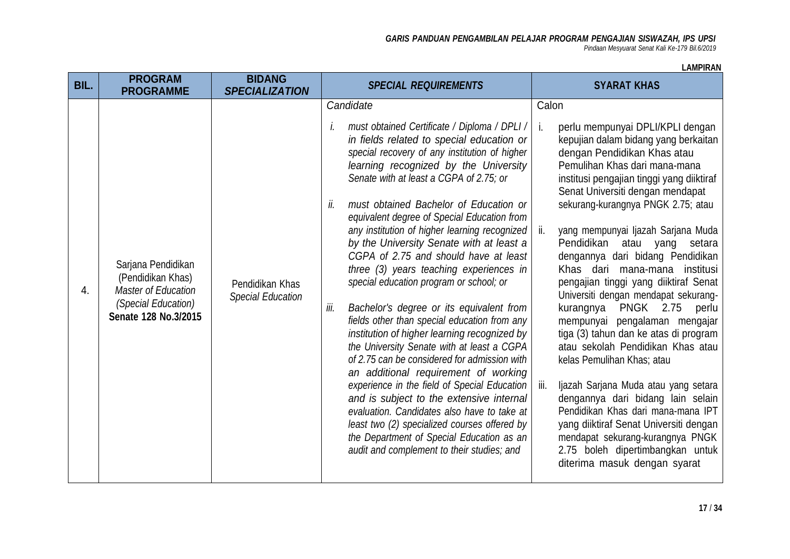*Pindaan Mesyuarat Senat Kali Ke-179 Bil.6/2019*

| BIL. | <b>PROGRAM</b><br><b>PROGRAMME</b>                                                                                   | <b>BIDANG</b><br><b>SPECIALIZATION</b>      | <b>SPECIAL REQUIREMENTS</b>                                                                                                                                                                                                                                                                                                                                                                                                                                                                                                                                                                                                                                                                                                                                                                                                                                                                                                                                                                                                                                                                                                                                   | <b>SYARAT KHAS</b>                                                                                                                                                                                                                                                                                                                                                                                                                                                                                                                                                                                                                                                                                                                                                                                                                                                                                                                                                                   |
|------|----------------------------------------------------------------------------------------------------------------------|---------------------------------------------|---------------------------------------------------------------------------------------------------------------------------------------------------------------------------------------------------------------------------------------------------------------------------------------------------------------------------------------------------------------------------------------------------------------------------------------------------------------------------------------------------------------------------------------------------------------------------------------------------------------------------------------------------------------------------------------------------------------------------------------------------------------------------------------------------------------------------------------------------------------------------------------------------------------------------------------------------------------------------------------------------------------------------------------------------------------------------------------------------------------------------------------------------------------|--------------------------------------------------------------------------------------------------------------------------------------------------------------------------------------------------------------------------------------------------------------------------------------------------------------------------------------------------------------------------------------------------------------------------------------------------------------------------------------------------------------------------------------------------------------------------------------------------------------------------------------------------------------------------------------------------------------------------------------------------------------------------------------------------------------------------------------------------------------------------------------------------------------------------------------------------------------------------------------|
| 4.   | Sarjana Pendidikan<br>(Pendidikan Khas)<br><b>Master of Education</b><br>(Special Education)<br>Senate 128 No.3/2015 | Pendidikan Khas<br><b>Special Education</b> | Candidate<br>must obtained Certificate / Diploma / DPLI /<br>Ι.<br>in fields related to special education or<br>special recovery of any institution of higher<br>learning recognized by the University<br>Senate with at least a CGPA of 2.75; or<br>must obtained Bachelor of Education or<br>II.<br>equivalent degree of Special Education from<br>any institution of higher learning recognized<br>by the University Senate with at least a<br>CGPA of 2.75 and should have at least<br>three (3) years teaching experiences in<br>special education program or school; or<br>Bachelor's degree or its equivalent from<br>iii.<br>fields other than special education from any<br>institution of higher learning recognized by<br>the University Senate with at least a CGPA<br>of 2.75 can be considered for admission with<br>an additional requirement of working<br>experience in the field of Special Education<br>and is subject to the extensive internal<br>evaluation. Candidates also have to take at<br>least two (2) specialized courses offered by<br>the Department of Special Education as an<br>audit and complement to their studies; and | Calon<br>j.<br>perlu mempunyai DPLI/KPLI dengan<br>kepujian dalam bidang yang berkaitan<br>dengan Pendidikan Khas atau<br>Pemulihan Khas dari mana-mana<br>institusi pengajian tinggi yang diiktiraf<br>Senat Universiti dengan mendapat<br>sekurang-kurangnya PNGK 2.75; atau<br>yang mempunyai Ijazah Sarjana Muda<br>ii.<br>Pendidikan atau yang setara<br>dengannya dari bidang Pendidikan<br>Khas dari mana-mana institusi<br>pengajian tinggi yang diiktiraf Senat<br>Universiti dengan mendapat sekurang-<br><b>PNGK 2.75</b><br>kurangnya<br>perlu<br>mempunyai pengalaman mengajar<br>tiga (3) tahun dan ke atas di program<br>atau sekolah Pendidikan Khas atau<br>kelas Pemulihan Khas; atau<br>Ijazah Sarjana Muda atau yang setara<br>iii.<br>dengannya dari bidang lain selain<br>Pendidikan Khas dari mana-mana IPT<br>yang diiktiraf Senat Universiti dengan<br>mendapat sekurang-kurangnya PNGK<br>2.75 boleh dipertimbangkan untuk<br>diterima masuk dengan syarat |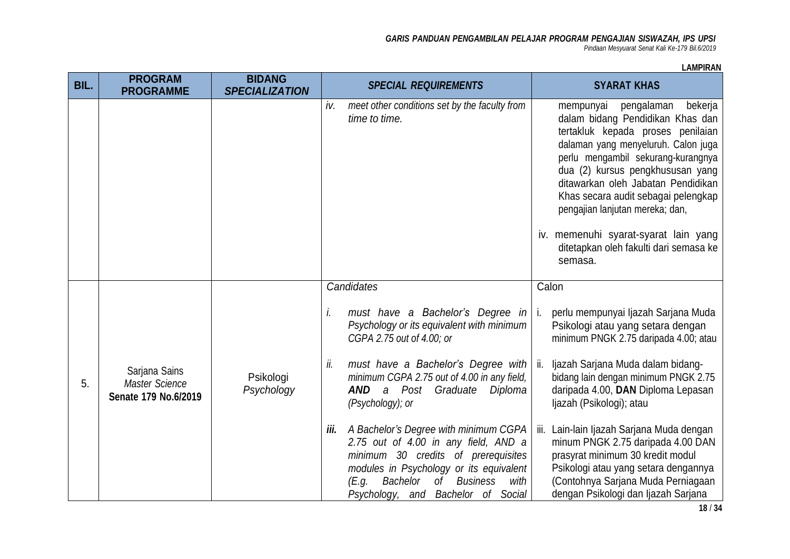*Pindaan Mesyuarat Senat Kali Ke-179 Bil.6/2019*

| LAMPIRAN |  |
|----------|--|
|----------|--|

| BIL. | <b>PROGRAM</b>                                                 | <b>BIDANG</b>           | <b>SPECIAL REQUIREMENTS</b>                                                                                                                                                                                                                               | <b>SYARAT KHAS</b>                                                                                                                                                                                                                                                                                                                                                                |
|------|----------------------------------------------------------------|-------------------------|-----------------------------------------------------------------------------------------------------------------------------------------------------------------------------------------------------------------------------------------------------------|-----------------------------------------------------------------------------------------------------------------------------------------------------------------------------------------------------------------------------------------------------------------------------------------------------------------------------------------------------------------------------------|
|      | <b>PROGRAMME</b>                                               | <b>SPECIALIZATION</b>   |                                                                                                                                                                                                                                                           |                                                                                                                                                                                                                                                                                                                                                                                   |
|      |                                                                |                         | meet other conditions set by the faculty from<br>iv.<br>time to time.                                                                                                                                                                                     | mempunyai pengalaman<br>bekerja<br>dalam bidang Pendidikan Khas dan<br>tertakluk kepada proses penilaian<br>dalaman yang menyeluruh. Calon juga<br>perlu mengambil sekurang-kurangnya<br>dua (2) kursus pengkhususan yang<br>ditawarkan oleh Jabatan Pendidikan<br>Khas secara audit sebagai pelengkap<br>pengajian lanjutan mereka; dan,<br>iv. memenuhi syarat-syarat lain yang |
|      |                                                                |                         |                                                                                                                                                                                                                                                           | ditetapkan oleh fakulti dari semasa ke<br>semasa.                                                                                                                                                                                                                                                                                                                                 |
|      |                                                                |                         | Candidates                                                                                                                                                                                                                                                | Calon                                                                                                                                                                                                                                                                                                                                                                             |
|      |                                                                |                         | must have a Bachelor's Degree in<br>İ.<br>Psychology or its equivalent with minimum<br>CGPA 2.75 out of 4.00; or                                                                                                                                          | perlu mempunyai Ijazah Sarjana Muda<br>i.<br>Psikologi atau yang setara dengan<br>minimum PNGK 2.75 daripada 4.00; atau                                                                                                                                                                                                                                                           |
| 5.   | Sarjana Sains<br><b>Master Science</b><br>Senate 179 No.6/2019 | Psikologi<br>Psychology | must have a Bachelor's Degree with<br>ii.<br>minimum CGPA 2.75 out of 4.00 in any field,<br>AND<br>a Post Graduate Diploma<br>(Psychology); or                                                                                                            | ii. Ijazah Sarjana Muda dalam bidang-<br>bidang lain dengan minimum PNGK 2.75<br>daripada 4.00, DAN Diploma Lepasan<br>ljazah (Psikologi); atau                                                                                                                                                                                                                                   |
|      |                                                                |                         | A Bachelor's Degree with minimum CGPA<br>iii.<br>2.75 out of 4.00 in any field, AND a<br>minimum 30 credits of prerequisites<br>modules in Psychology or its equivalent<br>Bachelor<br>of Business<br>with<br>(E.g.<br>Psychology, and Bachelor of Social | iii. Lain-lain Ijazah Sarjana Muda dengan<br>minum PNGK 2.75 daripada 4.00 DAN<br>prasyrat minimum 30 kredit modul<br>Psikologi atau yang setara dengannya<br>(Contohnya Sarjana Muda Perniagaan<br>dengan Psikologi dan Ijazah Sarjana                                                                                                                                           |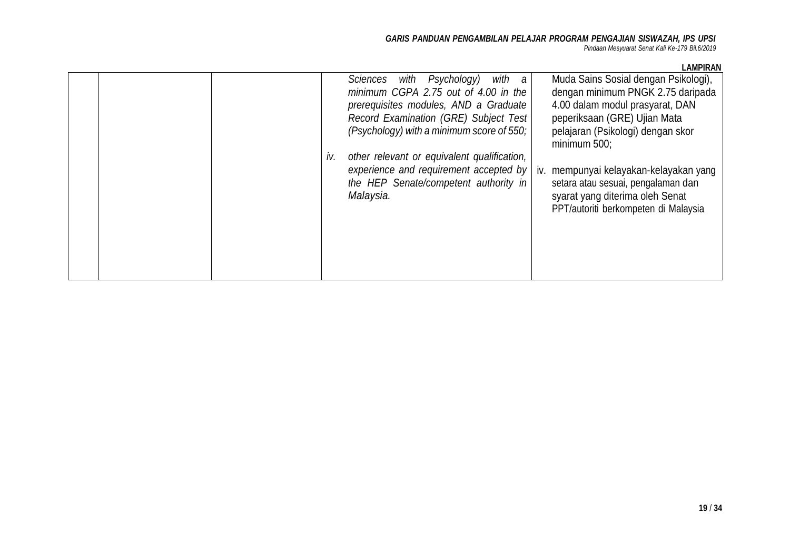*Pindaan Mesyuarat Senat Kali Ke-179 Bil.6/2019*

|     | with a<br>Psychology)<br>Sciences<br>with<br>minimum CGPA 2.75 out of 4.00 in the<br>prerequisites modules, AND a Graduate<br>Record Examination (GRE) Subject Test<br>(Psychology) with a minimum score of 550; | Muda Sains Sosial dengan Psikologi),<br>dengan minimum PNGK 2.75 daripada<br>4.00 dalam modul prasyarat, DAN<br>peperiksaan (GRE) Ujian Mata<br>pelajaran (Psikologi) dengan skor<br>minimum 500; |
|-----|------------------------------------------------------------------------------------------------------------------------------------------------------------------------------------------------------------------|---------------------------------------------------------------------------------------------------------------------------------------------------------------------------------------------------|
| IV. | other relevant or equivalent qualification,<br>experience and requirement accepted by<br>the HEP Senate/competent authority in<br>Malaysia.                                                                      | iv. mempunyai kelayakan-kelayakan yang<br>setara atau sesuai, pengalaman dan<br>syarat yang diterima oleh Senat<br>PPT/autoriti berkompeten di Malaysia                                           |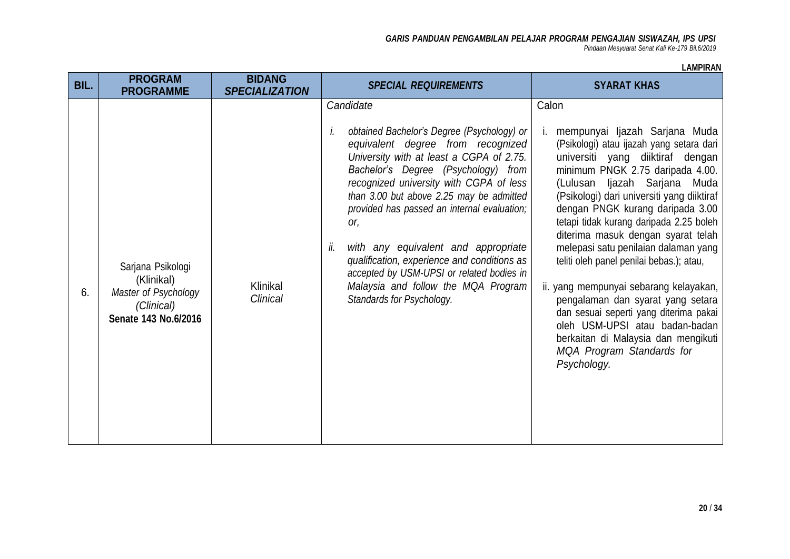*Pindaan Mesyuarat Senat Kali Ke-179 Bil.6/2019*

| BIL. | <b>PROGRAM</b><br><b>PROGRAMME</b>                                                            | <b>BIDANG</b><br><b>SPECIALIZATION</b> | <b>SPECIAL REQUIREMENTS</b>                                                                                                                                                                                                                                                                                                                                                                                                                                                                                                                      | <b>SYARAT KHAS</b>                                                                                                                                                                                                                                                                                                                                                                                                                                                                                                                                                                                                                                                                              |
|------|-----------------------------------------------------------------------------------------------|----------------------------------------|--------------------------------------------------------------------------------------------------------------------------------------------------------------------------------------------------------------------------------------------------------------------------------------------------------------------------------------------------------------------------------------------------------------------------------------------------------------------------------------------------------------------------------------------------|-------------------------------------------------------------------------------------------------------------------------------------------------------------------------------------------------------------------------------------------------------------------------------------------------------------------------------------------------------------------------------------------------------------------------------------------------------------------------------------------------------------------------------------------------------------------------------------------------------------------------------------------------------------------------------------------------|
| 6.   | Sarjana Psikologi<br>(Klinikal)<br>Master of Psychology<br>(Clinical)<br>Senate 143 No.6/2016 | Klinikal<br><b>Clinical</b>            | Candidate<br>obtained Bachelor's Degree (Psychology) or<br>İ.<br>equivalent degree from recognized<br>University with at least a CGPA of 2.75.<br>Bachelor's Degree (Psychology) from<br>recognized university with CGPA of less<br>than 3.00 but above 2.25 may be admitted<br>provided has passed an internal evaluation;<br>or,<br>with any equivalent and appropriate<br>ii.<br>qualification, experience and conditions as<br>accepted by USM-UPSI or related bodies in<br>Malaysia and follow the MQA Program<br>Standards for Psychology. | Calon<br>mempunyai Ijazah Sarjana Muda<br>(Psikologi) atau ijazah yang setara dari<br>universiti yang diiktiraf dengan<br>minimum PNGK 2.75 daripada 4.00.<br>(Lulusan Ijazah Sarjana Muda<br>(Psikologi) dari universiti yang diiktiraf<br>dengan PNGK kurang daripada 3.00<br>tetapi tidak kurang daripada 2.25 boleh<br>diterima masuk dengan syarat telah<br>melepasi satu penilaian dalaman yang<br>teliti oleh panel penilai bebas.); atau,<br>ii. yang mempunyai sebarang kelayakan,<br>pengalaman dan syarat yang setara<br>dan sesuai seperti yang diterima pakai<br>oleh USM-UPSI atau badan-badan<br>berkaitan di Malaysia dan mengikuti<br>MQA Program Standards for<br>Psychology. |